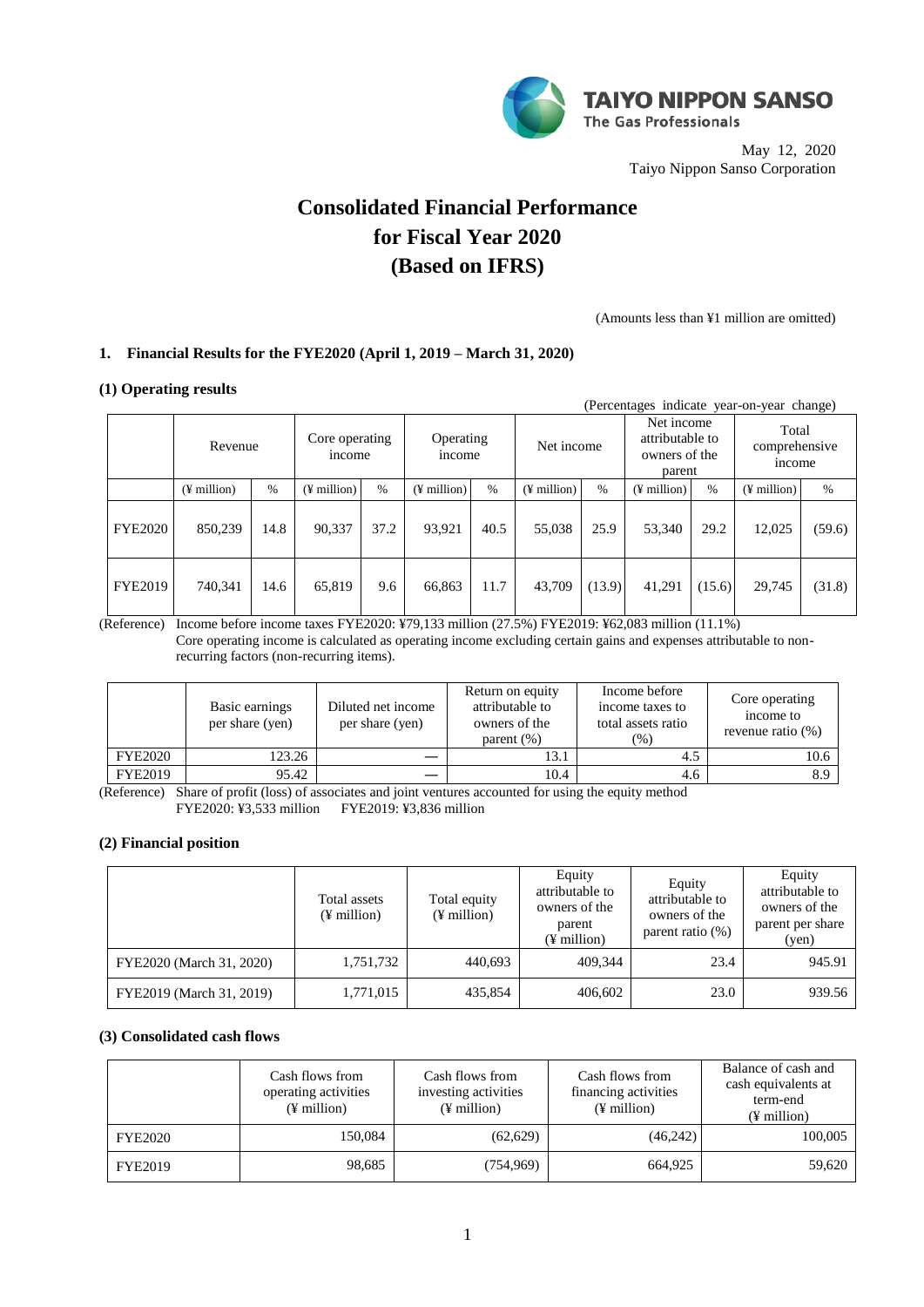

May 12, 2020 Taiyo Nippon Sanso Corporation

# **Consolidated Financial Performance for Fiscal Year 2020 (Based on IFRS)**

(Amounts less than ¥1 million are omitted)

## **1. Financial Results for the FYE2020 (April 1, 2019 – March 31, 2020)**

### **(1) Operating results**

|                | (Percentages indicate year-on-year change) |      |                          |      |                           |               |                   |        |                                                          |        |                                        |        |
|----------------|--------------------------------------------|------|--------------------------|------|---------------------------|---------------|-------------------|--------|----------------------------------------------------------|--------|----------------------------------------|--------|
|                | Revenue                                    |      | Core operating<br>income |      | Operating<br><i>ncome</i> |               | Net income        |        | Net income<br>attributable to<br>owners of the<br>parent |        | Total<br>comprehensive<br><i>ncome</i> |        |
|                | $(\frac{1}{2})$ million                    | $\%$ | $(\frac{1}{2})$ million) | $\%$ | $(\frac{1}{2})$ million   | $\frac{0}{0}$ | $($ ¥ million $)$ | $\%$   | $(\frac{1}{2})$ million)                                 | $\%$   | $($ ¥ million $)$                      | $\%$   |
| <b>FYE2020</b> | 850,239                                    | 14.8 | 90,337                   | 37.2 | 93,921                    | 40.5          | 55,038            | 25.9   | 53,340                                                   | 29.2   | 12,025                                 | (59.6) |
| <b>FYE2019</b> | 740,341                                    | 14.6 | 65,819                   | 9.6  | 66,863                    | 11.7          | 43,709            | (13.9) | 41,291                                                   | (15.6) | 29,745                                 | (31.8) |

(Reference) Income before income taxes FYE2020: ¥79,133 million (27.5%) FYE2019: ¥62,083 million (11.1%) Core operating income is calculated as operating income excluding certain gains and expenses attributable to nonrecurring factors (non-recurring items).

|                | Basic earnings<br>per share (yen) | Diluted net income<br>per share (yen) | Return on equity<br>attributable to<br>owners of the<br>parent $(\%)$ | Income before<br>income taxes to<br>total assets ratio<br>(% ) | Core operating<br>income to<br>revenue ratio $(\%)$ |
|----------------|-----------------------------------|---------------------------------------|-----------------------------------------------------------------------|----------------------------------------------------------------|-----------------------------------------------------|
| <b>FYE2020</b> | 123.26                            |                                       | 13.1                                                                  | 4.5                                                            | 10.6                                                |
| <b>FYE2019</b> | 95.42                             |                                       | 10.4                                                                  | 4.6                                                            | 8.9                                                 |

(Reference) Share of profit (loss) of associates and joint ventures accounted for using the equity method FYE2020: ¥3,533 million FYE2019: ¥3,836 million

## **(2) Financial position**

|                          | Total assets<br>$(\frac{1}{2})$ million | Total equity<br>$(\frac{1}{2})$ million | Equity<br>attributable to<br>owners of the<br>parent<br>(¥ million) | Equity<br>attributable to<br>owners of the<br>parent ratio (%) | Equity<br>attributable to<br>owners of the<br>parent per share<br>(yen) |
|--------------------------|-----------------------------------------|-----------------------------------------|---------------------------------------------------------------------|----------------------------------------------------------------|-------------------------------------------------------------------------|
| FYE2020 (March 31, 2020) | 1,751,732                               | 440.693                                 | 409.344                                                             | 23.4                                                           | 945.91                                                                  |
| FYE2019 (March 31, 2019) | 1,771,015                               | 435,854                                 | 406,602                                                             | 23.0                                                           | 939.56                                                                  |

## **(3) Consolidated cash flows**

|                | Cash flows from<br>operating activities<br>$(\frac{1}{2})$ million | Cash flows from<br>investing activities<br>$(\frac{1}{2})$ million | Cash flows from<br>financing activities<br>(¥ million) | Balance of cash and<br>cash equivalents at<br>term-end<br>$(\frac{1}{2})$ million |
|----------------|--------------------------------------------------------------------|--------------------------------------------------------------------|--------------------------------------------------------|-----------------------------------------------------------------------------------|
| <b>FYE2020</b> | 150,084                                                            | (62, 629)                                                          | (46,242)                                               | 100,005                                                                           |
| <b>FYE2019</b> | 98,685                                                             | (754, 969)                                                         | 664,925                                                | 59,620                                                                            |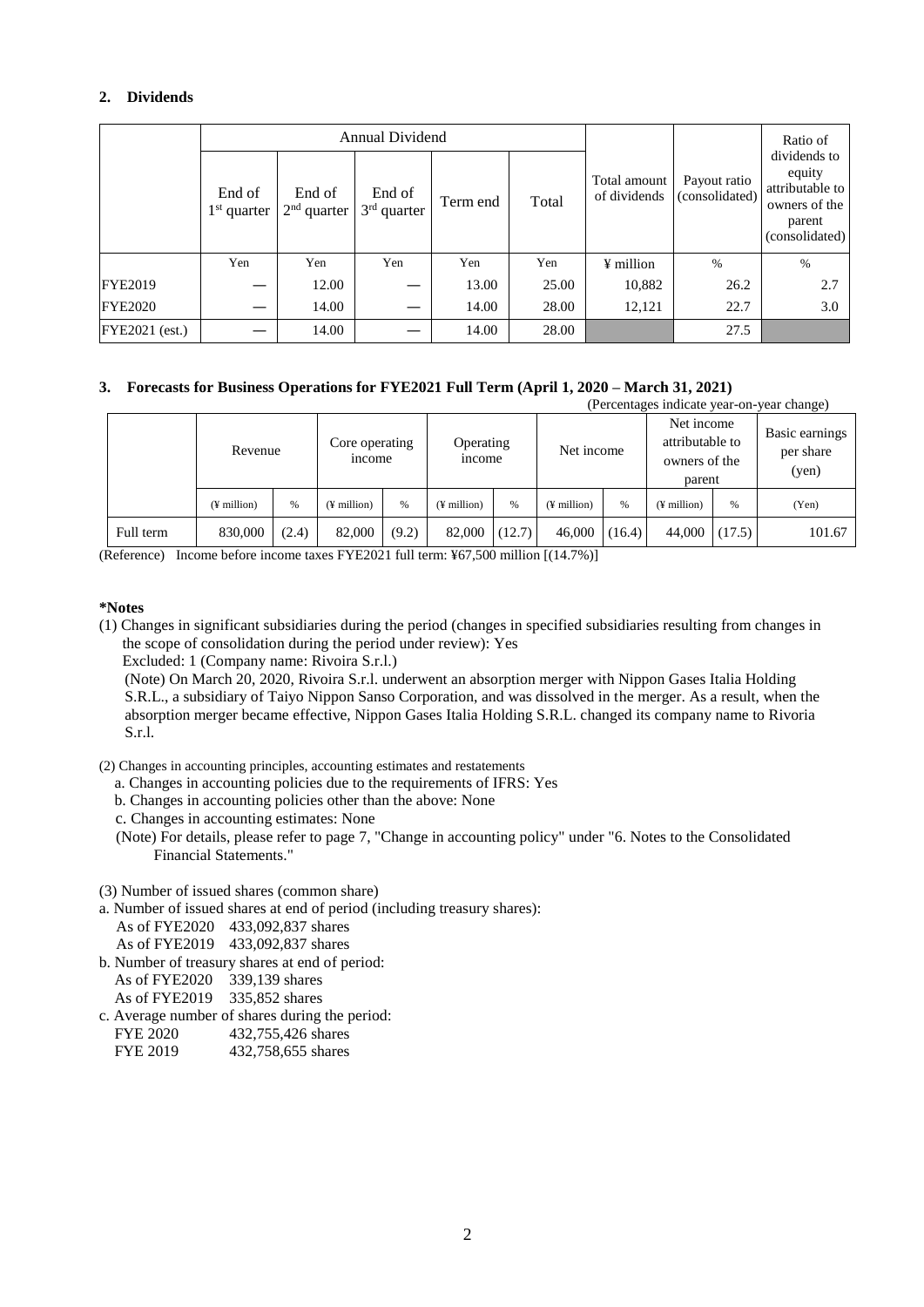## **2. Dividends**

|                |                         |                         | Annual Dividend         |          |       |                              |                                | Ratio of                                                                               |
|----------------|-------------------------|-------------------------|-------------------------|----------|-------|------------------------------|--------------------------------|----------------------------------------------------------------------------------------|
|                | End of<br>$1st$ quarter | End of<br>$2nd$ quarter | End of<br>$3rd$ quarter | Term end | Total | Total amount<br>of dividends | Payout ratio<br>(consolidated) | dividends to<br>equity<br>attributable to<br>owners of the<br>parent<br>(consolidated) |
|                | Yen                     | Yen                     | Yen                     | Yen      | Yen   | ¥ million                    | $\%$                           | $\%$                                                                                   |
| <b>FYE2019</b> |                         | 12.00                   |                         | 13.00    | 25.00 | 10,882                       | 26.2                           | 2.7                                                                                    |
| <b>FYE2020</b> |                         | 14.00                   |                         | 14.00    | 28.00 | 12,121                       | 22.7                           | 3.0                                                                                    |
| FYE2021 (est.) |                         | 14.00                   |                         | 14.00    | 28.00 |                              | 27.5                           |                                                                                        |

## **3. Forecasts for Business Operations for FYE2021 Full Term (April 1, 2020 – March 31, 2021)**

| (Percentages indicate year-on-year change) |               |       |                          |       |                            |        |                         |        |                                                          |        |                                      |
|--------------------------------------------|---------------|-------|--------------------------|-------|----------------------------|--------|-------------------------|--------|----------------------------------------------------------|--------|--------------------------------------|
|                                            | Revenue       |       | Core operating<br>income |       | Operating<br><i>n</i> come |        | Net income              |        | Net income<br>attributable to<br>owners of the<br>parent |        | Basic earnings<br>per share<br>(yen) |
|                                            | $(F$ million) | %     | (¥ million)              | %     | $(\frac{1}{2})$ million    | %      | $(\frac{1}{2})$ million | %      | $($ ¥ million $)$                                        | %      | (Yen)                                |
| Full term                                  | 830,000       | (2.4) | 82,000                   | (9.2) | 82,000                     | (12.7) | 46,000                  | (16.4) | 44,000                                                   | (17.5) | 101.67                               |

(Reference) Income before income taxes FYE2021 full term: ¥67,500 million [(14.7%)]

## **\*Notes**

(1) Changes in significant subsidiaries during the period (changes in specified subsidiaries resulting from changes in the scope of consolidation during the period under review): Yes

Excluded: 1 (Company name: Rivoira S.r.l.)

(Note) On March 20, 2020, Rivoira S.r.l. underwent an absorption merger with Nippon Gases Italia Holding S.R.L., a subsidiary of Taiyo Nippon Sanso Corporation, and was dissolved in the merger. As a result, when the absorption merger became effective, Nippon Gases Italia Holding S.R.L. changed its company name to Rivoria S.r.l.

(2) Changes in accounting principles, accounting estimates and restatements

- a. Changes in accounting policies due to the requirements of IFRS: Yes
- b. Changes in accounting policies other than the above: None
- c. Changes in accounting estimates: None
- (Note) For details, please refer to page 7, "Change in accounting policy" under "6. Notes to the Consolidated Financial Statements."

(3) Number of issued shares (common share)

- a. Number of issued shares at end of period (including treasury shares):
	- As of FYE2020 433,092,837 shares
	- As of FYE2019 433,092,837 shares
- b. Number of treasury shares at end of period:
	- As of FYE2020 339,139 shares
	- As of FYE2019 335,852 shares
- c. Average number of shares during the period:
	- FYE 2020 432,755,426 shares
	- FYE 2019 432,758,655 shares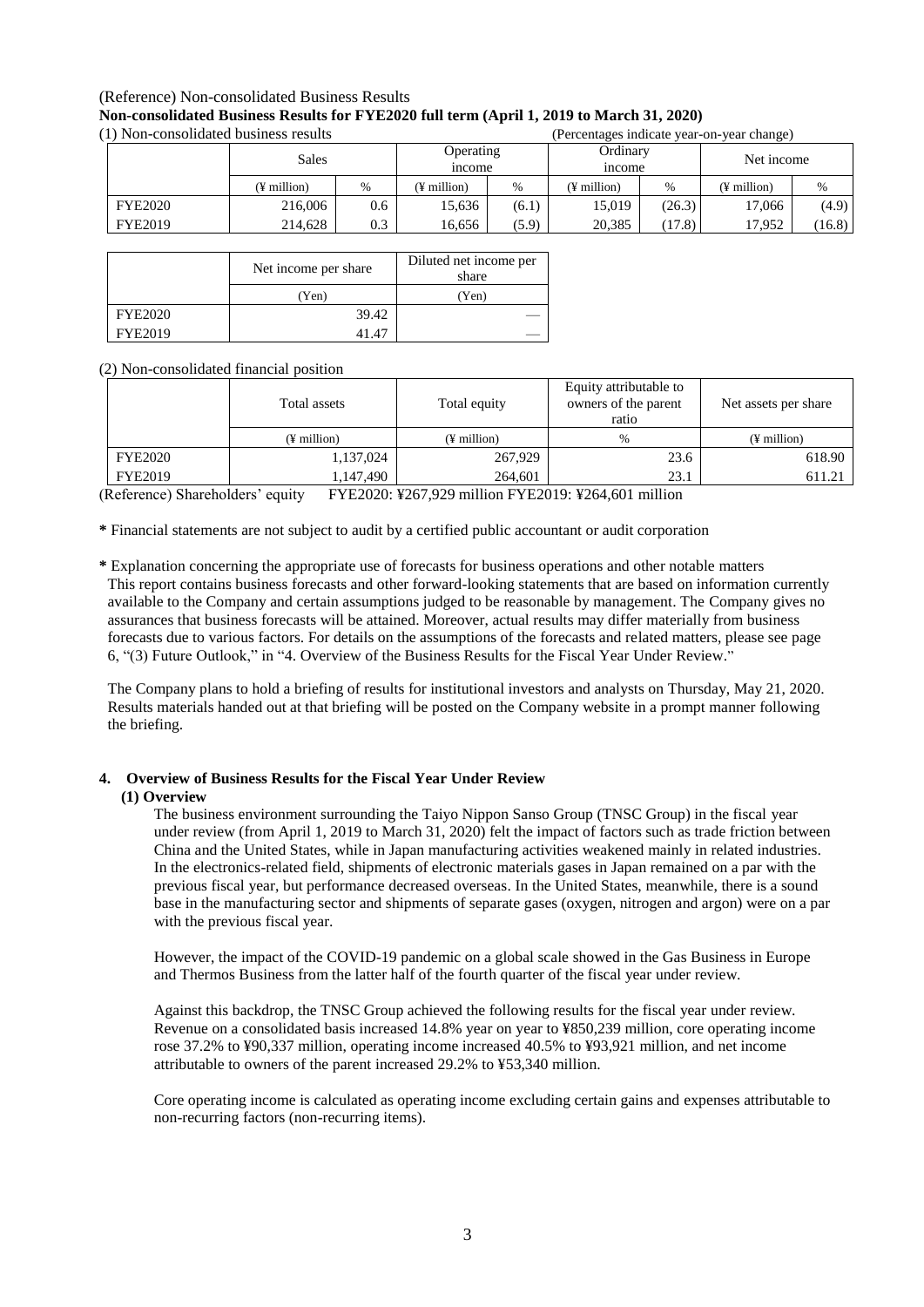# (Reference) Non-consolidated Business Results

### **Non-consolidated Business Results for FYE2020 full term (April 1, 2019 to March 31, 2020)** (1) Non-consolidated business results (Percentages indicate year-on-year change)

|                | Sales       |      | Operating<br><i>n</i> come |       | Ordinary<br><i>ncome</i> |        | Net income    |               |
|----------------|-------------|------|----------------------------|-------|--------------------------|--------|---------------|---------------|
|                | (¥ million) | $\%$ | $(F$ million)              | %     | (¥ million)              | %      | $(F$ million) | $\frac{0}{0}$ |
| <b>FYE2020</b> | 216,006     | 0.6  | 15.636                     | (6.1) | 15,019                   | (26.3) | 17.066        | (4.9)         |
| <b>FYE2019</b> | 214,628     | 0.3  | 16,656                     | (5.9) | 20,385                   | (17.8) | 17,952        | (16.8)        |

|                | Net income per share | Diluted net income per<br>share |
|----------------|----------------------|---------------------------------|
|                | (Yen)                | (Yen)                           |
| <b>FYE2020</b> | 39.42                |                                 |
| <b>FYE2019</b> | 41.47                |                                 |

## (2) Non-consolidated financial position

|         | Total assets  | Total equity  | Equity attributable to<br>owners of the parent<br>ratio | Net assets per share |  |
|---------|---------------|---------------|---------------------------------------------------------|----------------------|--|
|         | $(F$ million) | $(F$ million) | $\frac{0}{0}$                                           | $(F$ million)        |  |
| FYE2020 | 1,137,024     | 267,929       | 23.6                                                    | 618.90               |  |
| FYE2019 | 1.147.490     | 264.601       | 23.1                                                    | 611.21               |  |

(Reference) Shareholders' equity FYE2020: ¥267,929 million FYE2019: ¥264,601 million

**\*** Financial statements are not subject to audit by a certified public accountant or audit corporation

**\*** Explanation concerning the appropriate use of forecasts for business operations and other notable matters This report contains business forecasts and other forward-looking statements that are based on information currently available to the Company and certain assumptions judged to be reasonable by management. The Company gives no assurances that business forecasts will be attained. Moreover, actual results may differ materially from business forecasts due to various factors. For details on the assumptions of the forecasts and related matters, please see page 6, "(3) Future Outlook," in "4. Overview of the Business Results for the Fiscal Year Under Review."

The Company plans to hold a briefing of results for institutional investors and analysts on Thursday, May 21, 2020. Results materials handed out at that briefing will be posted on the Company website in a prompt manner following the briefing.

## **4. Overview of Business Results for the Fiscal Year Under Review**

## **(1) Overview**

The business environment surrounding the Taiyo Nippon Sanso Group (TNSC Group) in the fiscal year under review (from April 1, 2019 to March 31, 2020) felt the impact of factors such as trade friction between China and the United States, while in Japan manufacturing activities weakened mainly in related industries. In the electronics-related field, shipments of electronic materials gases in Japan remained on a par with the previous fiscal year, but performance decreased overseas. In the United States, meanwhile, there is a sound base in the manufacturing sector and shipments of separate gases (oxygen, nitrogen and argon) were on a par with the previous fiscal year.

However, the impact of the COVID-19 pandemic on a global scale showed in the Gas Business in Europe and Thermos Business from the latter half of the fourth quarter of the fiscal year under review.

Against this backdrop, the TNSC Group achieved the following results for the fiscal year under review. Revenue on a consolidated basis increased 14.8% year on year to ¥850,239 million, core operating income rose 37.2% to ¥90,337 million, operating income increased 40.5% to ¥93,921 million, and net income attributable to owners of the parent increased 29.2% to ¥53,340 million.

Core operating income is calculated as operating income excluding certain gains and expenses attributable to non-recurring factors (non-recurring items).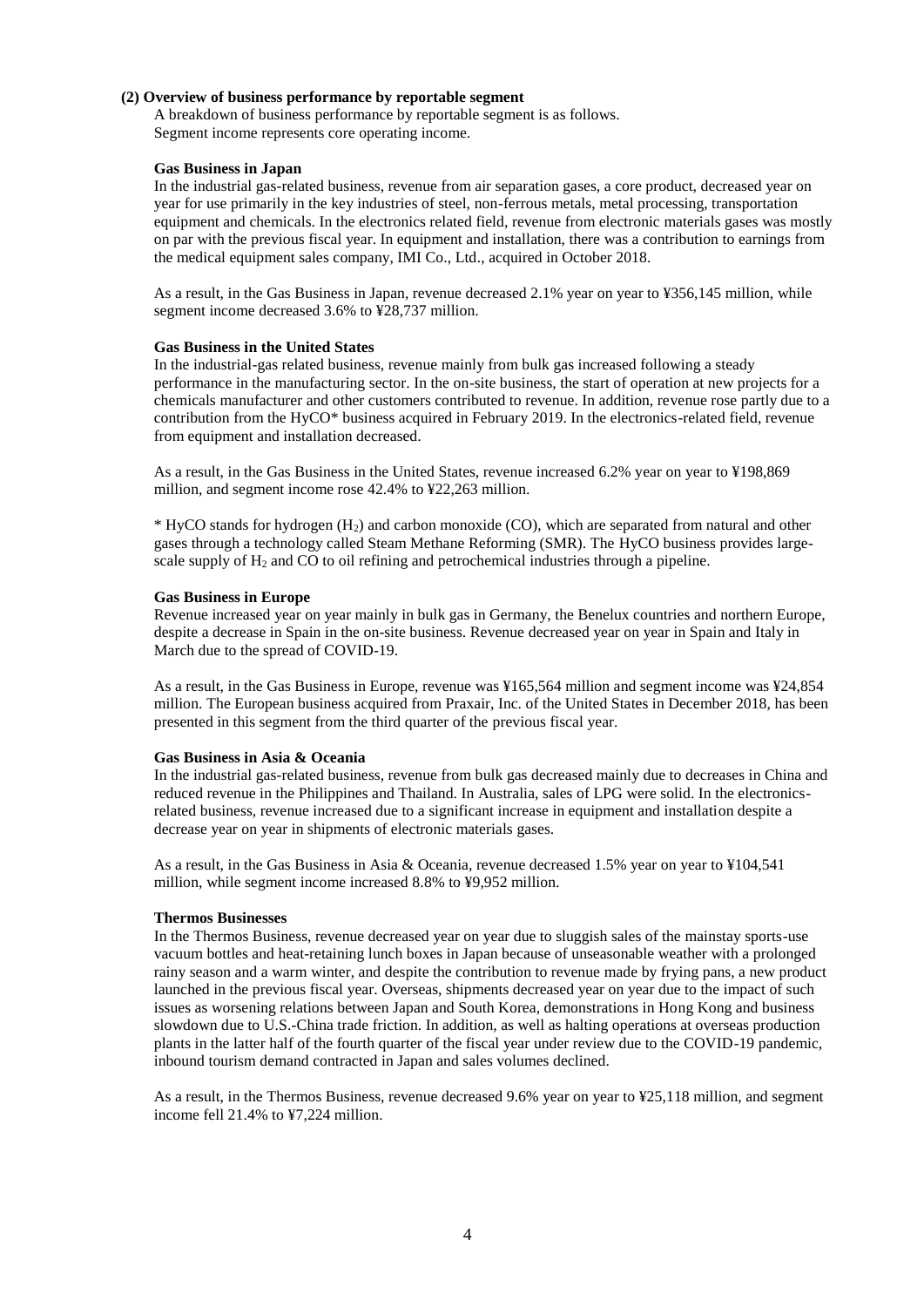#### **(2) Overview of business performance by reportable segment**

A breakdown of business performance by reportable segment is as follows. Segment income represents core operating income.

#### **Gas Business in Japan**

In the industrial gas-related business, revenue from air separation gases, a core product, decreased year on year for use primarily in the key industries of steel, non-ferrous metals, metal processing, transportation equipment and chemicals. In the electronics related field, revenue from electronic materials gases was mostly on par with the previous fiscal year. In equipment and installation, there was a contribution to earnings from the medical equipment sales company, IMI Co., Ltd., acquired in October 2018.

As a result, in the Gas Business in Japan, revenue decreased 2.1% year on year to ¥356,145 million, while segment income decreased 3.6% to ¥28,737 million.

#### **Gas Business in the United States**

In the industrial-gas related business, revenue mainly from bulk gas increased following a steady performance in the manufacturing sector. In the on-site business, the start of operation at new projects for a chemicals manufacturer and other customers contributed to revenue. In addition, revenue rose partly due to a contribution from the HyCO\* business acquired in February 2019. In the electronics-related field, revenue from equipment and installation decreased.

As a result, in the Gas Business in the United States, revenue increased 6.2% year on year to ¥198,869 million, and segment income rose 42.4% to ¥22,263 million.

 $*$  HyCO stands for hydrogen  $(H<sub>2</sub>)$  and carbon monoxide (CO), which are separated from natural and other gases through a technology called Steam Methane Reforming (SMR). The HyCO business provides largescale supply of  $H_2$  and CO to oil refining and petrochemical industries through a pipeline.

#### **Gas Business in Europe**

Revenue increased year on year mainly in bulk gas in Germany, the Benelux countries and northern Europe, despite a decrease in Spain in the on-site business. Revenue decreased year on year in Spain and Italy in March due to the spread of COVID-19.

As a result, in the Gas Business in Europe, revenue was ¥165,564 million and segment income was ¥24,854 million. The European business acquired from Praxair, Inc. of the United States in December 2018, has been presented in this segment from the third quarter of the previous fiscal year.

#### **Gas Business in Asia & Oceania**

In the industrial gas-related business, revenue from bulk gas decreased mainly due to decreases in China and reduced revenue in the Philippines and Thailand. In Australia, sales of LPG were solid. In the electronicsrelated business, revenue increased due to a significant increase in equipment and installation despite a decrease year on year in shipments of electronic materials gases.

As a result, in the Gas Business in Asia & Oceania, revenue decreased 1.5% year on year to ¥104,541 million, while segment income increased 8.8% to ¥9,952 million.

#### **Thermos Businesses**

In the Thermos Business, revenue decreased year on year due to sluggish sales of the mainstay sports-use vacuum bottles and heat-retaining lunch boxes in Japan because of unseasonable weather with a prolonged rainy season and a warm winter, and despite the contribution to revenue made by frying pans, a new product launched in the previous fiscal year. Overseas, shipments decreased year on year due to the impact of such issues as worsening relations between Japan and South Korea, demonstrations in Hong Kong and business slowdown due to U.S.-China trade friction. In addition, as well as halting operations at overseas production plants in the latter half of the fourth quarter of the fiscal year under review due to the COVID-19 pandemic, inbound tourism demand contracted in Japan and sales volumes declined.

As a result, in the Thermos Business, revenue decreased 9.6% year on year to ¥25,118 million, and segment income fell 21.4% to ¥7,224 million.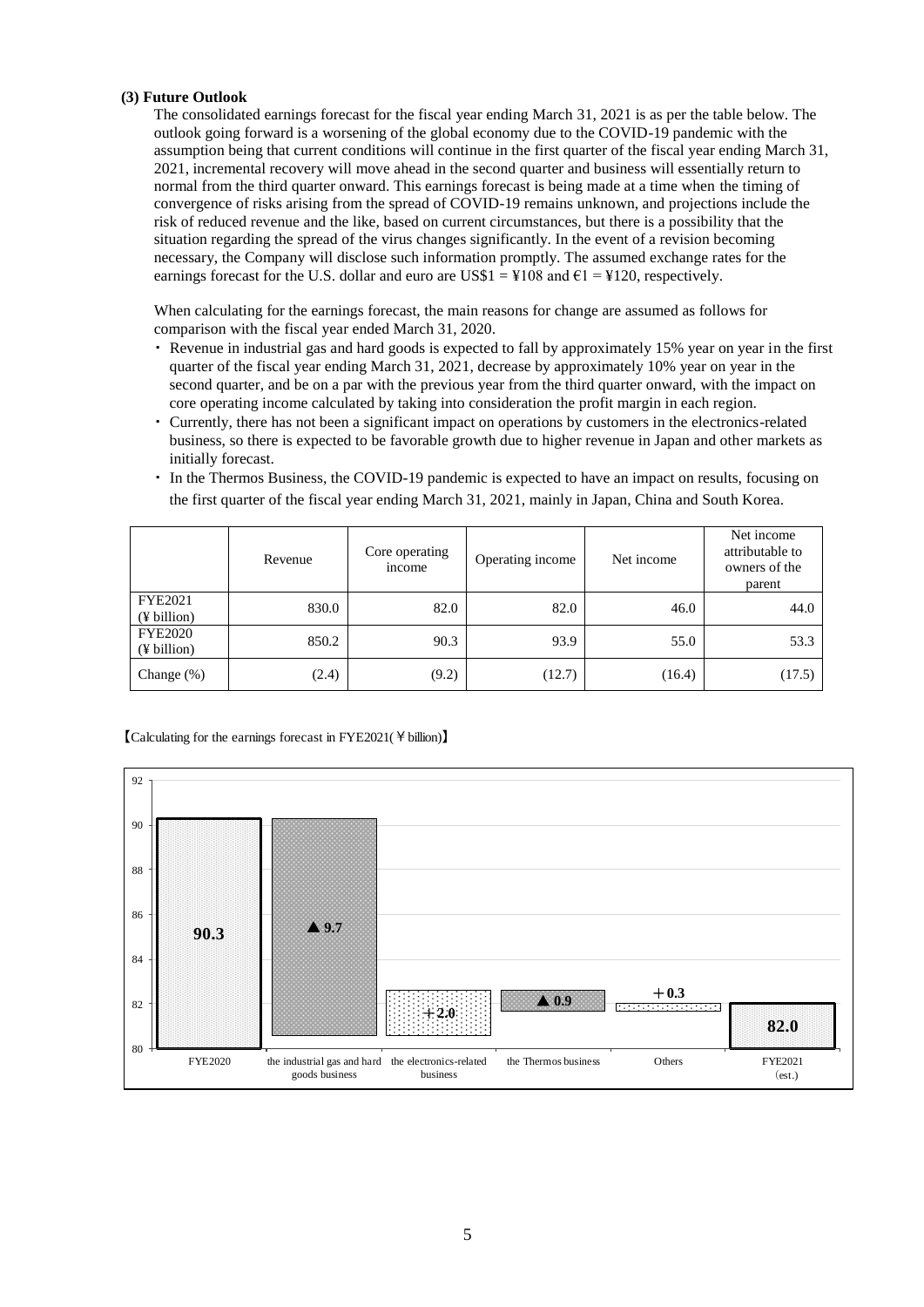## **(3) Future Outlook**

The consolidated earnings forecast for the fiscal year ending March 31, 2021 is as per the table below. The outlook going forward is a worsening of the global economy due to the COVID-19 pandemic with the assumption being that current conditions will continue in the first quarter of the fiscal year ending March 31, 2021, incremental recovery will move ahead in the second quarter and business will essentially return to normal from the third quarter onward. This earnings forecast is being made at a time when the timing of convergence of risks arising from the spread of COVID-19 remains unknown, and projections include the risk of reduced revenue and the like, based on current circumstances, but there is a possibility that the situation regarding the spread of the virus changes significantly. In the event of a revision becoming necessary, the Company will disclose such information promptly. The assumed exchange rates for the earnings forecast for the U.S. dollar and euro are US\$1 =  $\text{\textsterling}108$  and  $\text{\textsterling}1 = \text{\textsterling}120$ , respectively.

When calculating for the earnings forecast, the main reasons for change are assumed as follows for comparison with the fiscal year ended March 31, 2020.

- ・ Revenue in industrial gas and hard goods is expected to fall by approximately 15% year on year in the first quarter of the fiscal year ending March 31, 2021, decrease by approximately 10% year on year in the second quarter, and be on a par with the previous year from the third quarter onward, with the impact on core operating income calculated by taking into consideration the profit margin in each region.
- ・ Currently, there has not been a significant impact on operations by customers in the electronics-related business, so there is expected to be favorable growth due to higher revenue in Japan and other markets as initially forecast.
- ・ In the Thermos Business, the COVID-19 pandemic is expected to have an impact on results, focusing on the first quarter of the fiscal year ending March 31, 2021, mainly in Japan, China and South Korea.

|                               | Revenue | Core operating<br>income | Operating income | Net income | Net income<br>attributable to<br>owners of the<br>parent |
|-------------------------------|---------|--------------------------|------------------|------------|----------------------------------------------------------|
| FYE2021<br>(¥ billion)        | 830.0   | 82.0                     | 82.0             | 46.0       | 44.0                                                     |
| <b>FYE2020</b><br>(¥ billion) | 850.2   | 90.3                     | 93.9             | 55.0       | 53.3                                                     |
| Change $(\%)$                 | (2.4)   | (9.2)                    | (12.7)           | (16.4)     | (17.5)                                                   |

## 【Calculating for the earnings forecast in FYE2021(¥billion)】

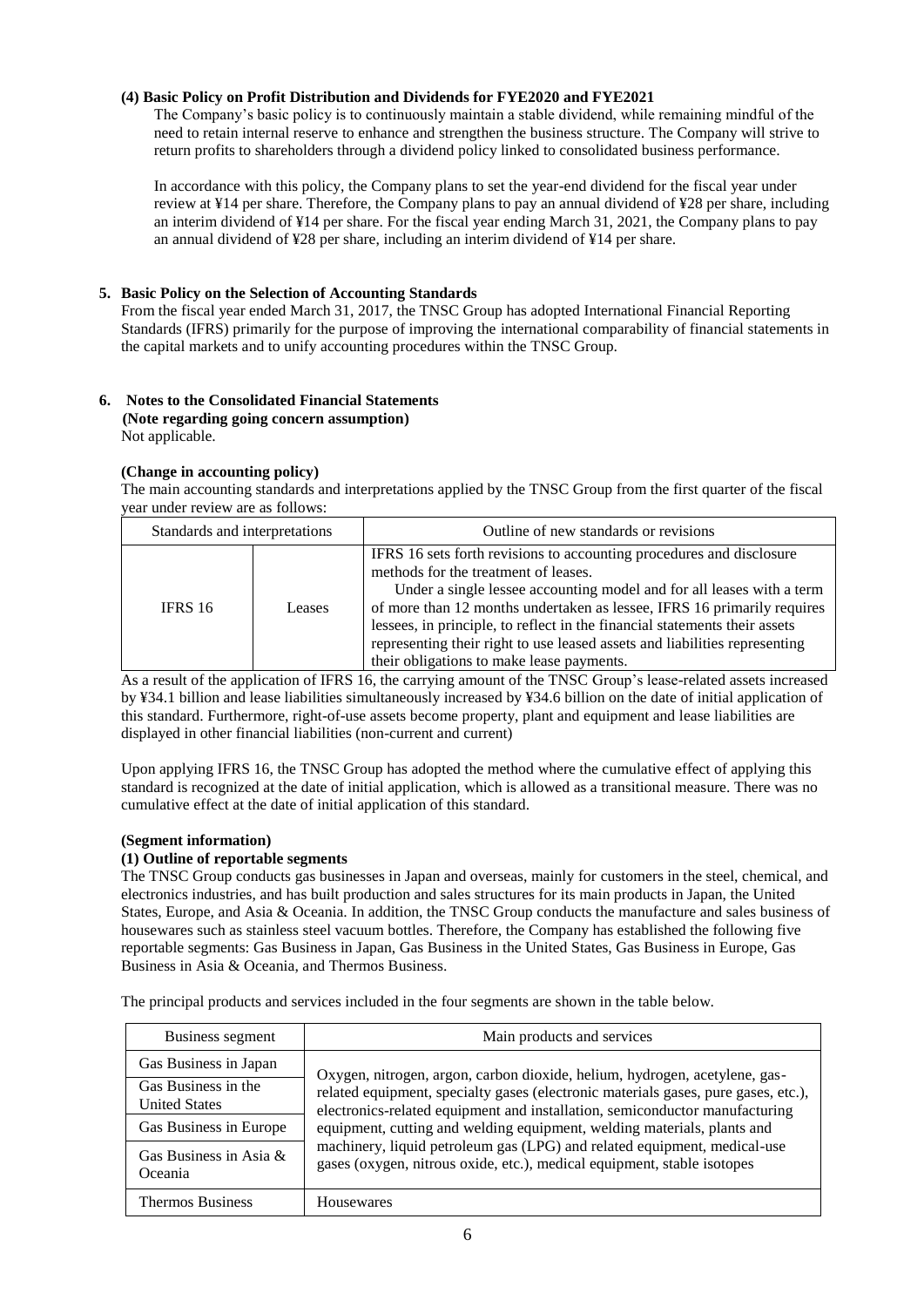## **(4) Basic Policy on Profit Distribution and Dividends for FYE2020 and FYE2021**

The Company's basic policy is to continuously maintain a stable dividend, while remaining mindful of the need to retain internal reserve to enhance and strengthen the business structure. The Company will strive to return profits to shareholders through a dividend policy linked to consolidated business performance.

In accordance with this policy, the Company plans to set the year-end dividend for the fiscal year under review at ¥14 per share. Therefore, the Company plans to pay an annual dividend of ¥28 per share, including an interim dividend of ¥14 per share. For the fiscal year ending March 31, 2021, the Company plans to pay an annual dividend of ¥28 per share, including an interim dividend of ¥14 per share.

## **5. Basic Policy on the Selection of Accounting Standards**

From the fiscal year ended March 31, 2017, the TNSC Group has adopted International Financial Reporting Standards (IFRS) primarily for the purpose of improving the international comparability of financial statements in the capital markets and to unify accounting procedures within the TNSC Group.

#### **6. Notes to the Consolidated Financial Statements (Note regarding going concern assumption)** Not applicable.

## **(Change in accounting policy)**

The main accounting standards and interpretations applied by the TNSC Group from the first quarter of the fiscal year under review are as follows:

| Standards and interpretations |        | Outline of new standards or revisions                                                                                                                                                                                                                                                                                                                                                                                                                                     |
|-------------------------------|--------|---------------------------------------------------------------------------------------------------------------------------------------------------------------------------------------------------------------------------------------------------------------------------------------------------------------------------------------------------------------------------------------------------------------------------------------------------------------------------|
| <b>IFRS 16</b>                | Leases | IFRS 16 sets forth revisions to accounting procedures and disclosure<br>methods for the treatment of leases.<br>Under a single lessee accounting model and for all leases with a term<br>of more than 12 months undertaken as lessee, IFRS 16 primarily requires<br>lessees, in principle, to reflect in the financial statements their assets<br>representing their right to use leased assets and liabilities representing<br>their obligations to make lease payments. |

As a result of the application of IFRS 16, the carrying amount of the TNSC Group's lease-related assets increased by ¥34.1 billion and lease liabilities simultaneously increased by ¥34.6 billion on the date of initial application of this standard. Furthermore, right-of-use assets become property, plant and equipment and lease liabilities are displayed in other financial liabilities (non-current and current)

Upon applying IFRS 16, the TNSC Group has adopted the method where the cumulative effect of applying this standard is recognized at the date of initial application, which is allowed as a transitional measure. There was no cumulative effect at the date of initial application of this standard.

## **(Segment information)**

## **(1) Outline of reportable segments**

The TNSC Group conducts gas businesses in Japan and overseas, mainly for customers in the steel, chemical, and electronics industries, and has built production and sales structures for its main products in Japan, the United States, Europe, and Asia & Oceania. In addition, the TNSC Group conducts the manufacture and sales business of housewares such as stainless steel vacuum bottles. Therefore, the Company has established the following five reportable segments: Gas Business in Japan, Gas Business in the United States, Gas Business in Europe, Gas Business in Asia & Oceania, and Thermos Business.

The principal products and services included in the four segments are shown in the table below.

| Business segment                                                      | Main products and services                                                                                                                                        |  |  |  |  |
|-----------------------------------------------------------------------|-------------------------------------------------------------------------------------------------------------------------------------------------------------------|--|--|--|--|
| Gas Business in Japan                                                 | Oxygen, nitrogen, argon, carbon dioxide, helium, hydrogen, acetylene, gas-                                                                                        |  |  |  |  |
| Gas Business in the<br><b>United States</b><br>Gas Business in Europe | related equipment, specialty gases (electronic materials gases, pure gases, etc.),<br>electronics-related equipment and installation, semiconductor manufacturing |  |  |  |  |
|                                                                       | equipment, cutting and welding equipment, welding materials, plants and                                                                                           |  |  |  |  |
| Gas Business in Asia $\&$<br>Oceania                                  | machinery, liquid petroleum gas (LPG) and related equipment, medical-use<br>gases (oxygen, nitrous oxide, etc.), medical equipment, stable isotopes               |  |  |  |  |
| Thermos Business                                                      | Housewares                                                                                                                                                        |  |  |  |  |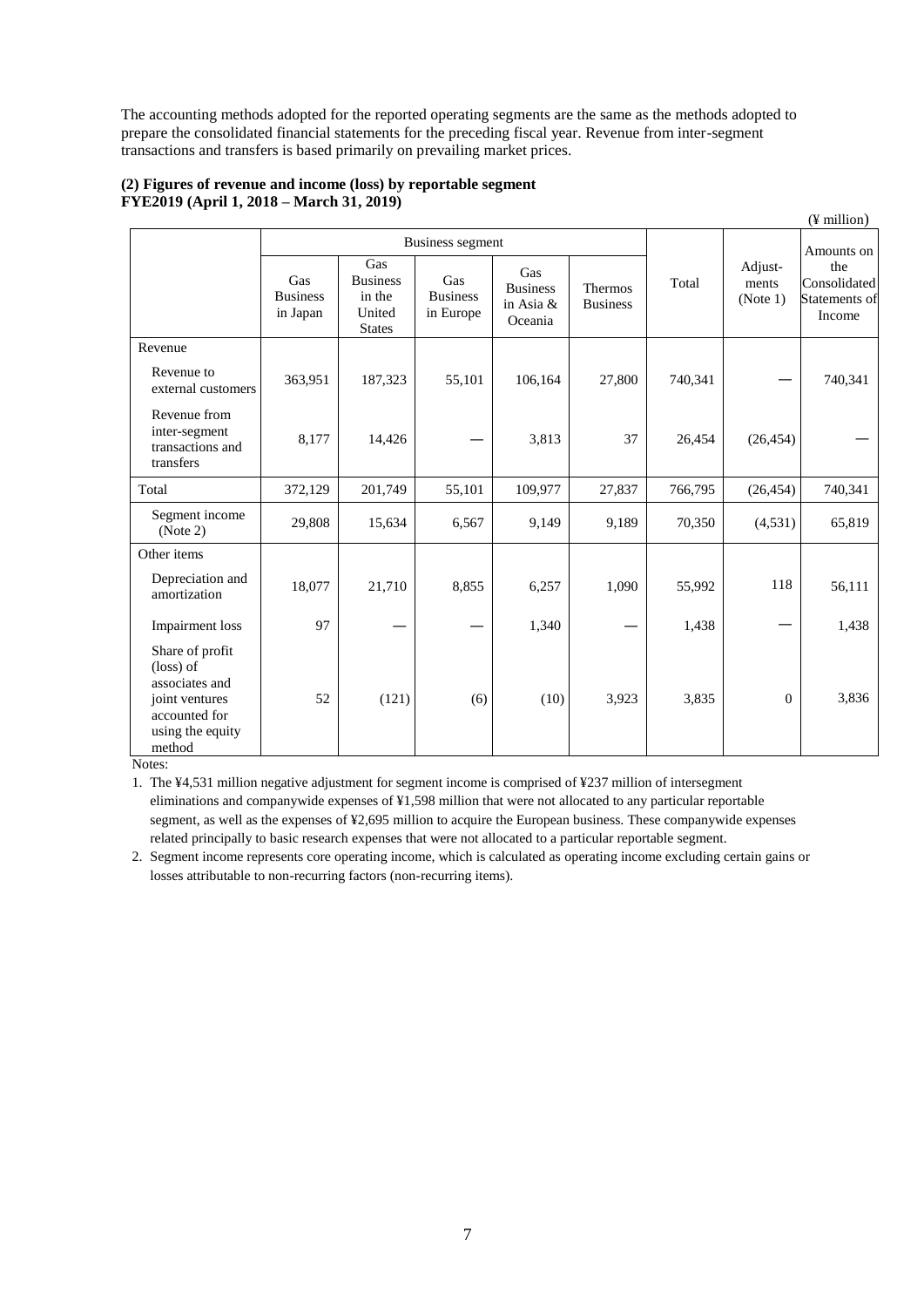The accounting methods adopted for the reported operating segments are the same as the methods adopted to prepare the consolidated financial statements for the preceding fiscal year. Revenue from inter-segment transactions and transfers is based primarily on prevailing market prices.

|                                                                                                                 |                                    |                                                             |                                     |                                                |                            |         |                              | $(\frac{y}{y})$ million                        |
|-----------------------------------------------------------------------------------------------------------------|------------------------------------|-------------------------------------------------------------|-------------------------------------|------------------------------------------------|----------------------------|---------|------------------------------|------------------------------------------------|
|                                                                                                                 | Business segment                   |                                                             |                                     |                                                |                            |         | Amounts on                   |                                                |
|                                                                                                                 | Gas<br><b>Business</b><br>in Japan | Gas<br><b>Business</b><br>in the<br>United<br><b>States</b> | Gas<br><b>Business</b><br>in Europe | Gas<br><b>Business</b><br>in Asia &<br>Oceania | Thermos<br><b>Business</b> | Total   | Adjust-<br>ments<br>(Note 1) | the<br>Consolidated<br>Statements of<br>Income |
| Revenue                                                                                                         |                                    |                                                             |                                     |                                                |                            |         |                              |                                                |
| Revenue to<br>external customers                                                                                | 363,951                            | 187,323                                                     | 55,101                              | 106,164                                        | 27,800                     | 740,341 |                              | 740,341                                        |
| Revenue from<br>inter-segment<br>transactions and<br>transfers                                                  | 8,177                              | 14,426                                                      |                                     | 3,813                                          | 37                         | 26,454  | (26, 454)                    |                                                |
| Total                                                                                                           | 372,129                            | 201,749                                                     | 55,101                              | 109,977                                        | 27,837                     | 766,795 | (26, 454)                    | 740,341                                        |
| Segment income<br>(Note 2)                                                                                      | 29,808                             | 15,634                                                      | 6,567                               | 9,149                                          | 9,189                      | 70,350  | (4,531)                      | 65,819                                         |
| Other items                                                                                                     |                                    |                                                             |                                     |                                                |                            |         |                              |                                                |
| Depreciation and<br>amortization                                                                                | 18,077                             | 21,710                                                      | 8,855                               | 6,257                                          | 1,090                      | 55,992  | 118                          | 56,111                                         |
| Impairment loss                                                                                                 | 97                                 |                                                             |                                     | 1,340                                          |                            | 1,438   |                              | 1,438                                          |
| Share of profit<br>(loss) of<br>associates and<br>joint ventures<br>accounted for<br>using the equity<br>method | 52                                 | (121)                                                       | (6)                                 | (10)                                           | 3,923                      | 3,835   | $\mathbf{0}$                 | 3,836                                          |

## **(2) Figures of revenue and income (loss) by reportable segment FYE2019 (April 1, 2018 – March 31, 2019)**

Notes:

1. The ¥4,531 million negative adjustment for segment income is comprised of ¥237 million of intersegment eliminations and companywide expenses of ¥1,598 million that were not allocated to any particular reportable segment, as well as the expenses of ¥2,695 million to acquire the European business. These companywide expenses related principally to basic research expenses that were not allocated to a particular reportable segment.

2. Segment income represents core operating income, which is calculated as operating income excluding certain gains or losses attributable to non-recurring factors (non-recurring items).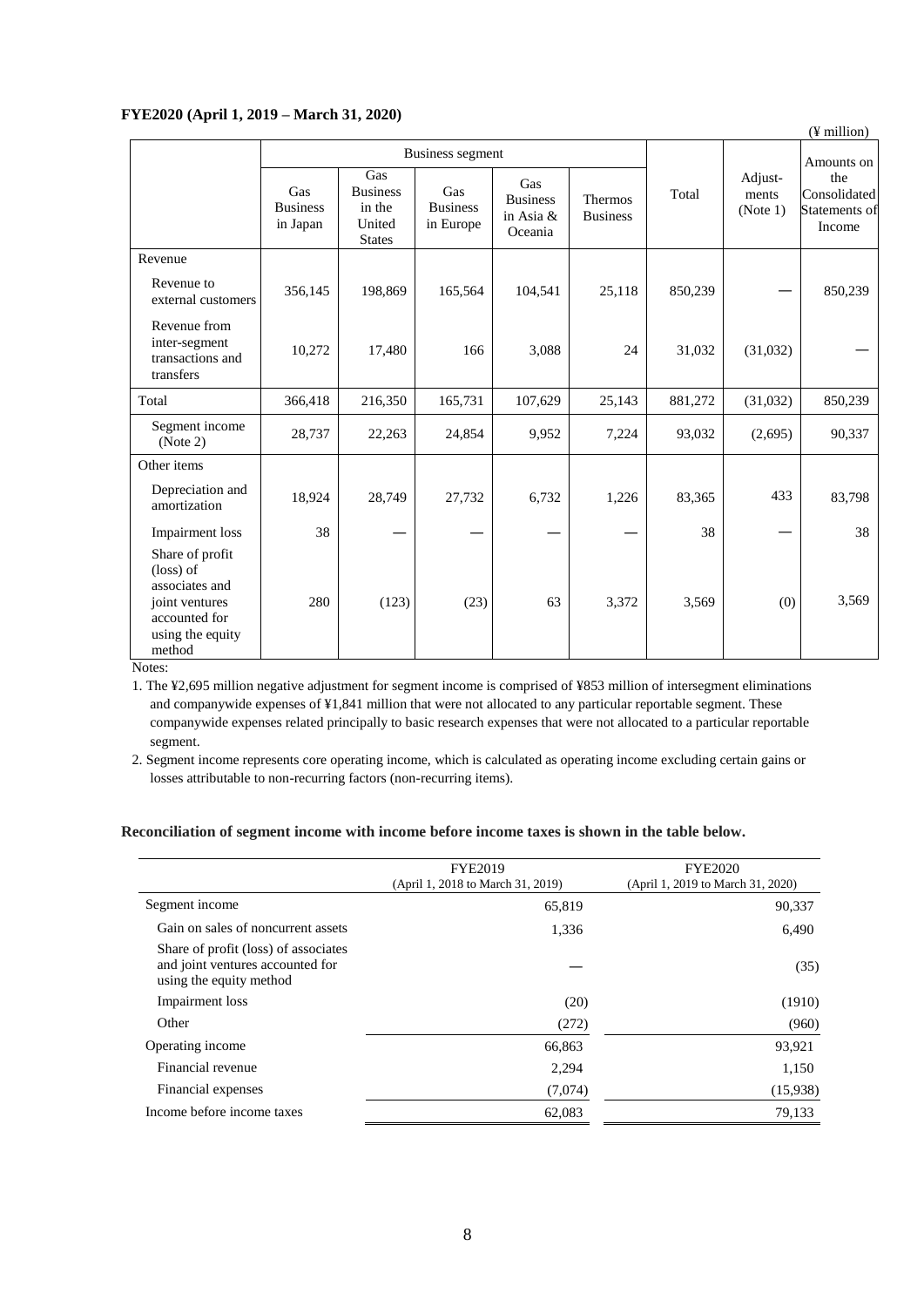## **FYE2020 (April 1, 2019 – March 31, 2020)**

| 1112020 (1111111,201)                                                                                                    |                                    | $11101$ CH $011$ and $001$                                  |                                     |                                                |                                   |         |                              | (¥ million)                                    |
|--------------------------------------------------------------------------------------------------------------------------|------------------------------------|-------------------------------------------------------------|-------------------------------------|------------------------------------------------|-----------------------------------|---------|------------------------------|------------------------------------------------|
|                                                                                                                          | Business segment                   |                                                             |                                     |                                                |                                   |         | Amounts on                   |                                                |
|                                                                                                                          | Gas<br><b>Business</b><br>in Japan | Gas<br><b>Business</b><br>in the<br>United<br><b>States</b> | Gas<br><b>Business</b><br>in Europe | Gas<br><b>Business</b><br>in Asia &<br>Oceania | <b>Thermos</b><br><b>Business</b> | Total   | Adjust-<br>ments<br>(Note 1) | the<br>Consolidated<br>Statements of<br>Income |
| Revenue                                                                                                                  |                                    |                                                             |                                     |                                                |                                   |         |                              |                                                |
| Revenue to<br>external customers                                                                                         | 356,145                            | 198,869                                                     | 165,564                             | 104,541                                        | 25,118                            | 850,239 |                              | 850,239                                        |
| Revenue from<br>inter-segment<br>transactions and<br>transfers                                                           | 10,272                             | 17,480                                                      | 166                                 | 3,088                                          | 24                                | 31,032  | (31,032)                     |                                                |
| Total                                                                                                                    | 366,418                            | 216,350                                                     | 165,731                             | 107,629                                        | 25,143                            | 881,272 | (31,032)                     | 850,239                                        |
| Segment income<br>(Note 2)                                                                                               | 28,737                             | 22,263                                                      | 24,854                              | 9,952                                          | 7,224                             | 93,032  | (2,695)                      | 90,337                                         |
| Other items                                                                                                              |                                    |                                                             |                                     |                                                |                                   |         |                              |                                                |
| Depreciation and<br>amortization                                                                                         | 18,924                             | 28,749                                                      | 27,732                              | 6,732                                          | 1,226                             | 83,365  | 433                          | 83,798                                         |
| Impairment loss                                                                                                          | 38                                 |                                                             |                                     |                                                |                                   | 38      |                              | 38                                             |
| Share of profit<br>$(\text{loss})$ of<br>associates and<br>joint ventures<br>accounted for<br>using the equity<br>method | 280                                | (123)                                                       | (23)                                | 63                                             | 3,372                             | 3,569   | (0)                          | 3,569                                          |

Notes:

1. The ¥2,695 million negative adjustment for segment income is comprised of ¥853 million of intersegment eliminations and companywide expenses of ¥1,841 million that were not allocated to any particular reportable segment. These companywide expenses related principally to basic research expenses that were not allocated to a particular reportable segment.

2. Segment income represents core operating income, which is calculated as operating income excluding certain gains or losses attributable to non-recurring factors (non-recurring items).

## **Reconciliation of segment income with income before income taxes is shown in the table below.**

|                                                                                                     | <b>FYE2019</b>                    | <b>FYE2020</b>                    |  |
|-----------------------------------------------------------------------------------------------------|-----------------------------------|-----------------------------------|--|
|                                                                                                     | (April 1, 2018 to March 31, 2019) | (April 1, 2019 to March 31, 2020) |  |
| Segment income                                                                                      | 65,819                            | 90,337                            |  |
| Gain on sales of noncurrent assets                                                                  | 1,336                             | 6,490                             |  |
| Share of profit (loss) of associates<br>and joint ventures accounted for<br>using the equity method |                                   | (35)                              |  |
| Impairment loss                                                                                     | (20)                              | (1910)                            |  |
| Other                                                                                               | (272)                             | (960)                             |  |
| Operating income                                                                                    | 66,863                            | 93,921                            |  |
| Financial revenue                                                                                   | 2,294                             | 1,150                             |  |
| Financial expenses                                                                                  | (7,074)                           | (15,938)                          |  |
| Income before income taxes                                                                          | 62,083                            | 79.133                            |  |